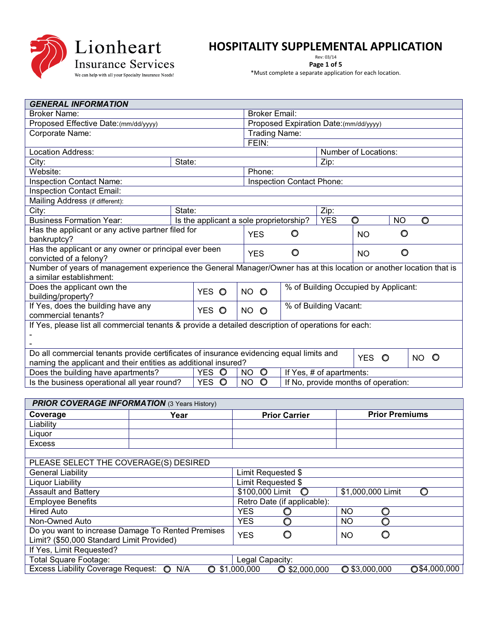

## **HOSPITALITY SUPPLEMENTAL APPLICATION**<br>Page 1 of 5

Rev: 03/14

**Page 1 of 5**  \*Must complete a separate application for each location.

| <b>GENERAL INFORMATION</b>                                                                                                                                |        |                                         |           |                                        |                                      |                      |           |           |      |  |  |
|-----------------------------------------------------------------------------------------------------------------------------------------------------------|--------|-----------------------------------------|-----------|----------------------------------------|--------------------------------------|----------------------|-----------|-----------|------|--|--|
| <b>Broker Name:</b>                                                                                                                                       |        |                                         |           | <b>Broker Email:</b>                   |                                      |                      |           |           |      |  |  |
| Proposed Effective Date: (mm/dd/yyyy)                                                                                                                     |        |                                         |           | Proposed Expiration Date: (mm/dd/yyyy) |                                      |                      |           |           |      |  |  |
| Corporate Name:                                                                                                                                           |        |                                         |           | Trading Name:                          |                                      |                      |           |           |      |  |  |
|                                                                                                                                                           |        |                                         |           | FEIN:                                  |                                      |                      |           |           |      |  |  |
| Location Address:                                                                                                                                         |        |                                         |           |                                        |                                      | Number of Locations: |           |           |      |  |  |
| State:<br>City:                                                                                                                                           |        |                                         |           |                                        |                                      | Zip:                 |           |           |      |  |  |
| Website:                                                                                                                                                  |        |                                         |           | Phone:                                 |                                      |                      |           |           |      |  |  |
| <b>Inspection Contact Name:</b>                                                                                                                           |        |                                         |           |                                        | Inspection Contact Phone:            |                      |           |           |      |  |  |
| <b>Inspection Contact Email:</b>                                                                                                                          |        |                                         |           |                                        |                                      |                      |           |           |      |  |  |
| Mailing Address (if different):                                                                                                                           |        |                                         |           |                                        |                                      |                      |           |           |      |  |  |
| City:                                                                                                                                                     | State: |                                         |           |                                        | Zip:                                 |                      |           |           |      |  |  |
| <b>Business Formation Year:</b>                                                                                                                           |        | Is the applicant a sole proprietorship? |           |                                        |                                      | <b>YES</b>           | O         | <b>NO</b> | O    |  |  |
| Has the applicant or any active partner filed for                                                                                                         |        |                                         |           | <b>YES</b>                             | $\circ$                              |                      | <b>NO</b> | O         |      |  |  |
| bankruptcy?                                                                                                                                               |        |                                         |           |                                        |                                      |                      |           |           |      |  |  |
| Has the applicant or any owner or principal ever been                                                                                                     |        |                                         |           | <b>YES</b>                             | O                                    |                      | <b>NO</b> | O         |      |  |  |
| convicted of a felony?                                                                                                                                    |        |                                         |           |                                        |                                      |                      |           |           |      |  |  |
| Number of years of management experience the General Manager/Owner has at this location or another location that is                                       |        |                                         |           |                                        |                                      |                      |           |           |      |  |  |
| a similar establishment:                                                                                                                                  |        |                                         |           |                                        |                                      |                      |           |           |      |  |  |
| Does the applicant own the                                                                                                                                |        | YES O                                   | NO O      |                                        | % of Building Occupied by Applicant: |                      |           |           |      |  |  |
| building/property?                                                                                                                                        |        |                                         |           |                                        |                                      |                      |           |           |      |  |  |
| If Yes, does the building have any                                                                                                                        |        | YES O                                   | NO O      |                                        | % of Building Vacant:                |                      |           |           |      |  |  |
| commercial tenants?                                                                                                                                       |        |                                         |           |                                        |                                      |                      |           |           |      |  |  |
| If Yes, please list all commercial tenants & provide a detailed description of operations for each:                                                       |        |                                         |           |                                        |                                      |                      |           |           |      |  |  |
|                                                                                                                                                           |        |                                         |           |                                        |                                      |                      |           |           |      |  |  |
|                                                                                                                                                           |        |                                         |           |                                        |                                      |                      |           |           |      |  |  |
| Do all commercial tenants provide certificates of insurance evidencing equal limits and<br>naming the applicant and their entities as additional insured? |        |                                         |           |                                        |                                      |                      | YES O     |           | NO O |  |  |
| Does the building have apartments?                                                                                                                        |        | YES O                                   | NO.       | $\circ$                                |                                      |                      |           |           |      |  |  |
| Is the business operational all year round?                                                                                                               |        | YES O                                   | <b>NO</b> | $\circ$                                | If Yes, # of apartments:             |                      |           |           |      |  |  |
|                                                                                                                                                           |        |                                         |           |                                        | If No, provide months of operation:  |                      |           |           |      |  |  |

| <b>PRIOR COVERAGE INFORMATION (3 Years History)</b> |      |   |             |                             |                 |           |                        |                 |  |  |
|-----------------------------------------------------|------|---|-------------|-----------------------------|-----------------|-----------|------------------------|-----------------|--|--|
| Coverage                                            | Year |   |             | <b>Prior Carrier</b>        |                 |           | <b>Prior Premiums</b>  |                 |  |  |
| Liability                                           |      |   |             |                             |                 |           |                        |                 |  |  |
| Liquor                                              |      |   |             |                             |                 |           |                        |                 |  |  |
| <b>Excess</b>                                       |      |   |             |                             |                 |           |                        |                 |  |  |
|                                                     |      |   |             |                             |                 |           |                        |                 |  |  |
| PLEASE SELECT THE COVERAGE(S) DESIRED               |      |   |             |                             |                 |           |                        |                 |  |  |
| <b>General Liability</b>                            |      |   |             | Limit Requested \$          |                 |           |                        |                 |  |  |
| <b>Liquor Liability</b>                             |      |   |             | Limit Requested \$          |                 |           |                        |                 |  |  |
| <b>Assault and Battery</b>                          |      |   |             | \$100,000 Limit             | $\circ$         |           | \$1,000,000 Limit      | O               |  |  |
| <b>Employee Benefits</b>                            |      |   |             | Retro Date (if applicable): |                 |           |                        |                 |  |  |
| <b>Hired Auto</b>                                   |      |   | <b>YES</b>  |                             |                 | <b>NO</b> |                        |                 |  |  |
| Non-Owned Auto                                      |      |   | <b>YES</b>  | ∩                           |                 | <b>NO</b> |                        |                 |  |  |
| Do you want to increase Damage To Rented Premises   |      |   | <b>YES</b>  | C                           |                 | <b>NO</b> |                        |                 |  |  |
| Limit? (\$50,000 Standard Limit Provided)           |      |   |             |                             |                 |           |                        |                 |  |  |
| If Yes, Limit Requested?                            |      |   |             |                             |                 |           |                        |                 |  |  |
| Total Square Footage:                               |      |   |             | Legal Capacity:             |                 |           |                        |                 |  |  |
| Excess Liability Coverage Request: O                | N/A  | O | \$1,000,000 |                             | $O$ \$2,000,000 |           | $\bigcirc$ \$3,000,000 | $Q$ \$4,000,000 |  |  |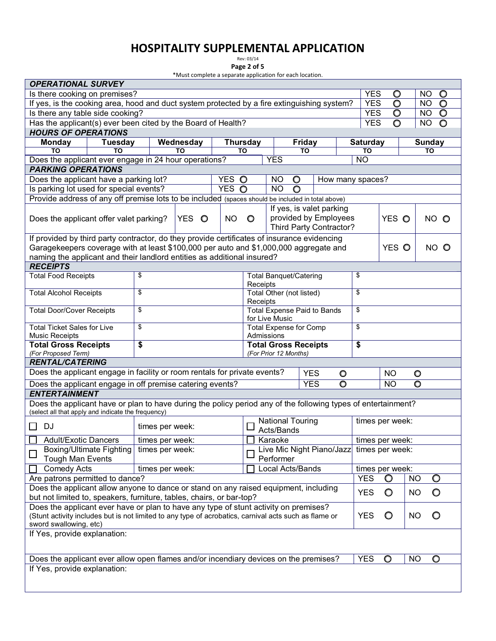# **HOSPITALITY SUPPLEMENTAL APPLICATION**<br>Page 2 of 5

Rev: 03/14

**Page 2 of 5**  \*Must complete a separate application for each location.

| <b>OPERATIONAL SURVEY</b>                                                                                                                                                                                               |                                 |                 |                                                           |           |                                  |                               |                 |                                                   |                 |                 |           |               |         |
|-------------------------------------------------------------------------------------------------------------------------------------------------------------------------------------------------------------------------|---------------------------------|-----------------|-----------------------------------------------------------|-----------|----------------------------------|-------------------------------|-----------------|---------------------------------------------------|-----------------|-----------------|-----------|---------------|---------|
| Is there cooking on premises?<br><b>YES</b><br>NO.<br>$\circ$<br>O                                                                                                                                                      |                                 |                 |                                                           |           |                                  |                               |                 |                                                   |                 |                 |           |               |         |
| If yes, is the cooking area, hood and duct system protected by a fire extinguishing system?                                                                                                                             |                                 |                 |                                                           |           |                                  |                               |                 |                                                   | <b>YES</b>      | O               |           | <b>NO</b>     | $\circ$ |
| Is there any table side cooking?                                                                                                                                                                                        |                                 |                 |                                                           |           |                                  |                               |                 |                                                   | <b>YES</b>      | $\circ$         |           | NO.           | $\circ$ |
| Has the applicant(s) ever been cited by the Board of Health?                                                                                                                                                            |                                 |                 |                                                           |           |                                  |                               |                 |                                                   | <b>YES</b>      | O               |           | <b>NO</b>     | $\circ$ |
| <b>HOURS OF OPERATIONS</b>                                                                                                                                                                                              |                                 |                 |                                                           |           |                                  |                               |                 |                                                   |                 |                 |           |               |         |
| <b>Monday</b>                                                                                                                                                                                                           | Tuesday                         |                 | Wednesday                                                 |           | <b>Thursday</b>                  |                               | <b>Friday</b>   |                                                   | <b>Saturday</b> |                 |           | <b>Sunday</b> |         |
| TO                                                                                                                                                                                                                      | TO                              |                 | TO                                                        |           | TO                               |                               | <b>TO</b>       |                                                   | TO              |                 |           | ΤО            |         |
| Does the applicant ever engage in 24 hour operations?                                                                                                                                                                   |                                 |                 |                                                           |           |                                  | <b>YES</b>                    |                 |                                                   | <b>NO</b>       |                 |           |               |         |
| <b>PARKING OPERATIONS</b>                                                                                                                                                                                               |                                 |                 |                                                           |           |                                  |                               |                 |                                                   |                 |                 |           |               |         |
| Does the applicant have a parking lot?                                                                                                                                                                                  |                                 |                 |                                                           | YES O     |                                  | <b>NO</b>                     | $\circ$         | How many spaces?                                  |                 |                 |           |               |         |
| YES O<br>Is parking lot used for special events?<br><b>NO</b><br>$\circ$<br>Provide address of any off premise lots to be included (spaces should be included in total above)                                           |                                 |                 |                                                           |           |                                  |                               |                 |                                                   |                 |                 |           |               |         |
|                                                                                                                                                                                                                         |                                 |                 |                                                           |           |                                  |                               |                 |                                                   |                 |                 |           |               |         |
|                                                                                                                                                                                                                         |                                 |                 |                                                           |           |                                  |                               |                 | If yes, is valet parking<br>provided by Employees |                 |                 |           |               |         |
| YES O<br>Does the applicant offer valet parking?                                                                                                                                                                        |                                 |                 |                                                           | <b>NO</b> | $\circ$                          |                               |                 | Third Party Contractor?                           |                 | YES O           |           | NO O          |         |
|                                                                                                                                                                                                                         |                                 |                 |                                                           |           |                                  |                               |                 |                                                   |                 |                 |           |               |         |
| If provided by third party contractor, do they provide certificates of insurance evidencing<br>Garagekeepers coverage with at least \$100,000 per auto and \$1,000,000 aggregate and                                    |                                 |                 |                                                           |           |                                  |                               |                 |                                                   |                 | YES O           |           | NO O          |         |
| naming the applicant and their landlord entities as additional insured?                                                                                                                                                 |                                 |                 |                                                           |           |                                  |                               |                 |                                                   |                 |                 |           |               |         |
| <b>RECEIPTS</b>                                                                                                                                                                                                         |                                 |                 |                                                           |           |                                  |                               |                 |                                                   |                 |                 |           |               |         |
| <b>Total Food Receipts</b>                                                                                                                                                                                              |                                 | \$              |                                                           |           |                                  | <b>Total Banquet/Catering</b> |                 |                                                   | \$              |                 |           |               |         |
|                                                                                                                                                                                                                         |                                 |                 |                                                           |           | Receipts                         |                               |                 |                                                   |                 |                 |           |               |         |
| <b>Total Alcohol Receipts</b>                                                                                                                                                                                           |                                 | \$              |                                                           |           |                                  | Total Other (not listed)      |                 |                                                   | \$              |                 |           |               |         |
|                                                                                                                                                                                                                         |                                 |                 |                                                           |           | Receipts                         |                               |                 |                                                   |                 |                 |           |               |         |
| \$<br><b>Total Expense Paid to Bands</b><br>\$<br><b>Total Door/Cover Receipts</b>                                                                                                                                      |                                 |                 |                                                           |           |                                  |                               |                 |                                                   |                 |                 |           |               |         |
| for Live Music<br><b>Total Ticket Sales for Live</b><br>\$<br><b>Total Expense for Comp</b>                                                                                                                             |                                 |                 |                                                           |           |                                  |                               | \$              |                                                   |                 |                 |           |               |         |
| Admissions<br><b>Music Receipts</b>                                                                                                                                                                                     |                                 |                 |                                                           |           |                                  |                               |                 |                                                   |                 |                 |           |               |         |
| <b>Total Gross Receipts</b>                                                                                                                                                                                             |                                 | \$              |                                                           |           |                                  | <b>Total Gross Receipts</b>   |                 |                                                   | \$              |                 |           |               |         |
| (For Proposed Term)                                                                                                                                                                                                     |                                 |                 |                                                           |           |                                  | (For Prior 12 Months)         |                 |                                                   |                 |                 |           |               |         |
| <b>RENTAL/CATERING</b>                                                                                                                                                                                                  |                                 |                 |                                                           |           |                                  |                               |                 |                                                   |                 |                 |           |               |         |
| Does the applicant engage in facility or room rentals for private events?                                                                                                                                               |                                 |                 |                                                           |           |                                  |                               | <b>YES</b>      | $\circ$                                           |                 | <b>NO</b>       | $\circ$   |               |         |
| Does the applicant engage in off premise catering events?                                                                                                                                                               |                                 |                 |                                                           |           | $\overline{\circ}$<br><b>YES</b> |                               |                 |                                                   |                 | <b>NO</b>       | $\circ$   |               |         |
| <b>ENTERTAINMENT</b>                                                                                                                                                                                                    |                                 |                 |                                                           |           |                                  |                               |                 |                                                   |                 |                 |           |               |         |
| Does the applicant have or plan to have during the policy period any of the following types of entertainment?<br>(select all that apply and indicate the frequency)                                                     |                                 |                 |                                                           |           |                                  |                               |                 |                                                   |                 |                 |           |               |         |
| <b>DJ</b>                                                                                                                                                                                                               |                                 |                 |                                                           |           |                                  | <b>National Touring</b>       |                 |                                                   |                 | times per week: |           |               |         |
|                                                                                                                                                                                                                         |                                 | times per week: |                                                           |           |                                  | Acts/Bands                    |                 |                                                   |                 |                 |           |               |         |
| <b>Adult/Exotic Dancers</b>                                                                                                                                                                                             |                                 | times per week: |                                                           |           |                                  | $\Box$ Karaoke                |                 |                                                   | times per week: |                 |           |               |         |
| <b>Tough Man Events</b>                                                                                                                                                                                                 | <b>Boxing/Ultimate Fighting</b> |                 | Live Mic Night Piano/Jazz<br>times per week:<br>Performer |           |                                  |                               |                 |                                                   |                 | times per week: |           |               |         |
| <b>Comedy Acts</b><br>Local Acts/Bands<br>times per week:                                                                                                                                                               |                                 |                 |                                                           |           |                                  |                               | times per week: |                                                   |                 |                 |           |               |         |
| Are patrons permitted to dance?                                                                                                                                                                                         |                                 |                 |                                                           |           |                                  |                               |                 |                                                   | <b>YES</b>      | O               | <b>NO</b> | $\circ$       |         |
| Does the applicant allow anyone to dance or stand on any raised equipment, including<br>but not limited to, speakers, furniture, tables, chairs, or bar-top?                                                            |                                 |                 |                                                           |           |                                  |                               | <b>YES</b>      | O                                                 | <b>NO</b>       | O               |           |               |         |
|                                                                                                                                                                                                                         |                                 |                 |                                                           |           |                                  |                               |                 |                                                   |                 |                 |           |               |         |
| Does the applicant ever have or plan to have any type of stunt activity on premises?<br>(Stunt activity includes but is not limited to any type of acrobatics, carnival acts such as flame or<br>sword swallowing, etc) |                                 |                 |                                                           |           |                                  | <b>YES</b>                    | $\circ$         | <b>NO</b>                                         | O               |                 |           |               |         |
| If Yes, provide explanation:                                                                                                                                                                                            |                                 |                 |                                                           |           |                                  |                               |                 |                                                   |                 |                 |           |               |         |
|                                                                                                                                                                                                                         |                                 |                 |                                                           |           |                                  |                               |                 |                                                   |                 |                 |           |               |         |
|                                                                                                                                                                                                                         |                                 |                 |                                                           |           |                                  |                               |                 |                                                   |                 |                 |           |               |         |
| Does the applicant ever allow open flames and/or incendiary devices on the premises?                                                                                                                                    |                                 |                 |                                                           |           |                                  |                               |                 |                                                   | <b>YES</b>      | O               | <b>NO</b> | $\circ$       |         |
| If Yes, provide explanation:                                                                                                                                                                                            |                                 |                 |                                                           |           |                                  |                               |                 |                                                   |                 |                 |           |               |         |
|                                                                                                                                                                                                                         |                                 |                 |                                                           |           |                                  |                               |                 |                                                   |                 |                 |           |               |         |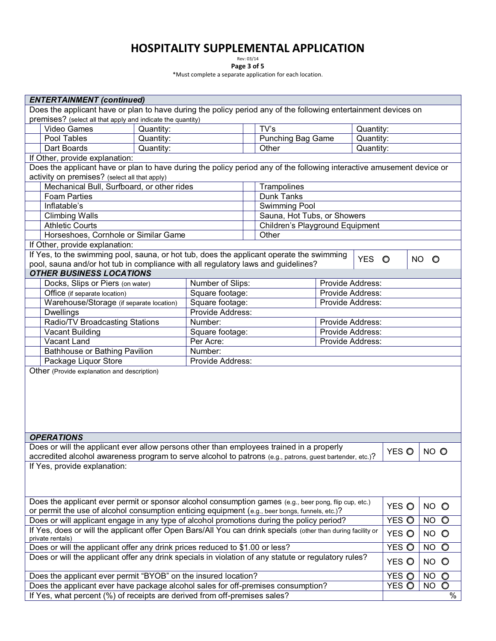## **HOSPITALITY SUPPLEMENTAL APPLICATION**<br>Page 3 of 5

Rev: 03/14

**Page 3 of 5**  \*Must complete a separate application for each location.

|                                                                                                              | <b>ENTERTAINMENT (continued)</b>                                                                                      |           |                                     |  |                                 |                  |           |           |           |         |  |  |
|--------------------------------------------------------------------------------------------------------------|-----------------------------------------------------------------------------------------------------------------------|-----------|-------------------------------------|--|---------------------------------|------------------|-----------|-----------|-----------|---------|--|--|
|                                                                                                              | Does the applicant have or plan to have during the policy period any of the following entertainment devices on        |           |                                     |  |                                 |                  |           |           |           |         |  |  |
|                                                                                                              | premises? (select all that apply and indicate the quantity)                                                           |           |                                     |  |                                 |                  |           |           |           |         |  |  |
|                                                                                                              | Video Games                                                                                                           | Quantity: |                                     |  | TV's                            |                  |           | Quantity: |           |         |  |  |
|                                                                                                              | Pool Tables                                                                                                           | Quantity: |                                     |  | <b>Punching Bag Game</b>        |                  | Quantity: |           |           |         |  |  |
|                                                                                                              | Dart Boards                                                                                                           | Quantity: |                                     |  | Other                           |                  | Quantity: |           |           |         |  |  |
|                                                                                                              | If Other, provide explanation:                                                                                        |           |                                     |  |                                 |                  |           |           |           |         |  |  |
|                                                                                                              | Does the applicant have or plan to have during the policy period any of the following interactive amusement device or |           |                                     |  |                                 |                  |           |           |           |         |  |  |
|                                                                                                              | activity on premises? (select all that apply)                                                                         |           |                                     |  |                                 |                  |           |           |           |         |  |  |
|                                                                                                              | Mechanical Bull, Surfboard, or other rides                                                                            |           |                                     |  | Trampolines                     |                  |           |           |           |         |  |  |
|                                                                                                              | Dunk Tanks<br><b>Foam Parties</b>                                                                                     |           |                                     |  |                                 |                  |           |           |           |         |  |  |
|                                                                                                              | Inflatable's                                                                                                          |           |                                     |  | Swimming Pool                   |                  |           |           |           |         |  |  |
|                                                                                                              | <b>Climbing Walls</b>                                                                                                 |           |                                     |  | Sauna, Hot Tubs, or Showers     |                  |           |           |           |         |  |  |
|                                                                                                              | <b>Athletic Courts</b>                                                                                                |           |                                     |  | Children's Playground Equipment |                  |           |           |           |         |  |  |
|                                                                                                              | Horseshoes, Cornhole or Similar Game                                                                                  |           |                                     |  | Other                           |                  |           |           |           |         |  |  |
|                                                                                                              | If Other, provide explanation:                                                                                        |           |                                     |  |                                 |                  |           |           |           |         |  |  |
|                                                                                                              | If Yes, to the swimming pool, sauna, or hot tub, does the applicant operate the swimming                              |           |                                     |  |                                 |                  |           |           |           |         |  |  |
|                                                                                                              | pool, sauna and/or hot tub in compliance with all regulatory laws and guidelines?                                     |           |                                     |  |                                 |                  | YES O     |           | NO O      |         |  |  |
|                                                                                                              | <b>OTHER BUSINESS LOCATIONS</b>                                                                                       |           |                                     |  |                                 |                  |           |           |           |         |  |  |
|                                                                                                              | Docks, Slips or Piers (on water)                                                                                      |           | Number of Slips:                    |  |                                 | Provide Address: |           |           |           |         |  |  |
|                                                                                                              | Office (if separate location)                                                                                         |           | Square footage:                     |  |                                 | Provide Address: |           |           |           |         |  |  |
|                                                                                                              | Warehouse/Storage (if separate location)                                                                              |           | Square footage:                     |  |                                 | Provide Address: |           |           |           |         |  |  |
|                                                                                                              | <b>Dwellings</b>                                                                                                      |           | Provide Address:                    |  |                                 |                  |           |           |           |         |  |  |
|                                                                                                              | <b>Radio/TV Broadcasting Stations</b>                                                                                 |           | Number:<br>Provide Address:         |  |                                 |                  |           |           |           |         |  |  |
|                                                                                                              | Vacant Building                                                                                                       |           | Square footage:<br>Provide Address: |  |                                 |                  |           |           |           |         |  |  |
|                                                                                                              | Vacant Land                                                                                                           |           | Per Acre:<br>Provide Address:       |  |                                 |                  |           |           |           |         |  |  |
|                                                                                                              | Bathhouse or Bathing Pavilion                                                                                         |           | Number:                             |  |                                 |                  |           |           |           |         |  |  |
|                                                                                                              | Package Liquor Store                                                                                                  |           | Provide Address:                    |  |                                 |                  |           |           |           |         |  |  |
| Other (Provide explanation and description)                                                                  |                                                                                                                       |           |                                     |  |                                 |                  |           |           |           |         |  |  |
|                                                                                                              |                                                                                                                       |           |                                     |  |                                 |                  |           |           |           |         |  |  |
|                                                                                                              |                                                                                                                       |           |                                     |  |                                 |                  |           |           |           |         |  |  |
|                                                                                                              |                                                                                                                       |           |                                     |  |                                 |                  |           |           |           |         |  |  |
|                                                                                                              |                                                                                                                       |           |                                     |  |                                 |                  |           |           |           |         |  |  |
|                                                                                                              |                                                                                                                       |           |                                     |  |                                 |                  |           |           |           |         |  |  |
|                                                                                                              |                                                                                                                       |           |                                     |  |                                 |                  |           |           |           |         |  |  |
|                                                                                                              | <b>OPERATIONS</b>                                                                                                     |           |                                     |  |                                 |                  |           |           |           |         |  |  |
|                                                                                                              | Does or will the applicant ever allow persons other than employees trained in a properly                              |           |                                     |  |                                 |                  |           |           |           |         |  |  |
|                                                                                                              | accredited alcohol awareness program to serve alcohol to patrons (e.g., patrons, guest bartender, etc.)?              |           |                                     |  |                                 |                  |           | YES O     | NO O      |         |  |  |
|                                                                                                              | If Yes, provide explanation:                                                                                          |           |                                     |  |                                 |                  |           |           |           |         |  |  |
|                                                                                                              |                                                                                                                       |           |                                     |  |                                 |                  |           |           |           |         |  |  |
|                                                                                                              |                                                                                                                       |           |                                     |  |                                 |                  |           |           |           |         |  |  |
|                                                                                                              |                                                                                                                       |           |                                     |  |                                 |                  |           |           |           |         |  |  |
|                                                                                                              | Does the applicant ever permit or sponsor alcohol consumption games (e.g., beer pong, flip cup, etc.)                 |           |                                     |  |                                 |                  |           |           |           |         |  |  |
| or permit the use of alcohol consumption enticing equipment (e.g., beer bongs, funnels, etc.)?               |                                                                                                                       |           |                                     |  | YES O                           | NO O             |           |           |           |         |  |  |
| Does or will applicant engage in any type of alcohol promotions during the policy period?                    |                                                                                                                       |           |                                     |  |                                 | YES O            | NO O      |           |           |         |  |  |
| If Yes, does or will the applicant offer Open Bars/All You can drink specials (other than during facility or |                                                                                                                       |           |                                     |  |                                 | YES O            | NO O      |           |           |         |  |  |
| private rentals)                                                                                             |                                                                                                                       |           |                                     |  |                                 |                  |           |           |           |         |  |  |
|                                                                                                              | Does or will the applicant offer any drink prices reduced to \$1.00 or less?                                          |           |                                     |  |                                 |                  |           | YES O     | NO O      |         |  |  |
|                                                                                                              | Does or will the applicant offer any drink specials in violation of any statute or regulatory rules?                  |           |                                     |  |                                 |                  |           | YES O     | NO O      |         |  |  |
|                                                                                                              |                                                                                                                       |           |                                     |  |                                 |                  |           |           |           |         |  |  |
|                                                                                                              | Does the applicant ever permit "BYOB" on the insured location?                                                        |           |                                     |  |                                 |                  |           | YES O     | <b>NO</b> | $\circ$ |  |  |
|                                                                                                              | Does the applicant ever have package alcohol sales for off-premises consumption?                                      |           |                                     |  |                                 |                  |           | YES O     | <b>NO</b> | $\circ$ |  |  |
|                                                                                                              | If Yes, what percent (%) of receipts are derived from off-premises sales?                                             |           |                                     |  |                                 |                  |           |           |           | $\%$    |  |  |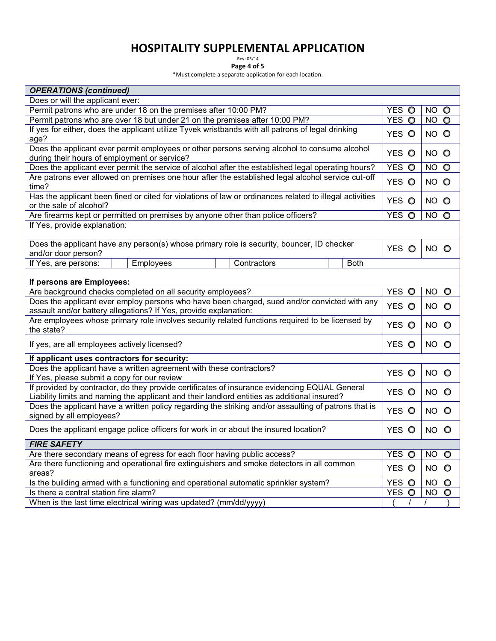## **HOSPITALITY SUPPLEMENTAL APPLICATION**<br>Page 4 of 5

Rev: 03/14

**Page 4 of 5**  \*Must complete a separate application for each location.

| <b>OPERATIONS (continued)</b>                                                                                                                                                                 |                   |                      |  |  |  |  |  |  |  |  |
|-----------------------------------------------------------------------------------------------------------------------------------------------------------------------------------------------|-------------------|----------------------|--|--|--|--|--|--|--|--|
| Does or will the applicant ever:                                                                                                                                                              |                   |                      |  |  |  |  |  |  |  |  |
| Permit patrons who are under 18 on the premises after 10:00 PM?                                                                                                                               | YES O             | NO O                 |  |  |  |  |  |  |  |  |
| Permit patrons who are over 18 but under 21 on the premises after 10:00 PM?                                                                                                                   | YES O             | NO O                 |  |  |  |  |  |  |  |  |
| If yes for either, does the applicant utilize Tyvek wristbands with all patrons of legal drinking                                                                                             | YES O             | NO O                 |  |  |  |  |  |  |  |  |
| age?                                                                                                                                                                                          |                   |                      |  |  |  |  |  |  |  |  |
| Does the applicant ever permit employees or other persons serving alcohol to consume alcohol                                                                                                  | YES O             | NO O                 |  |  |  |  |  |  |  |  |
| during their hours of employment or service?                                                                                                                                                  |                   |                      |  |  |  |  |  |  |  |  |
| Does the applicant ever permit the service of alcohol after the established legal operating hours?                                                                                            | YES O             | NO O                 |  |  |  |  |  |  |  |  |
| Are patrons ever allowed on premises one hour after the established legal alcohol service cut-off                                                                                             | YES O             | NO O                 |  |  |  |  |  |  |  |  |
| time?<br>Has the applicant been fined or cited for violations of law or ordinances related to illegal activities                                                                              |                   |                      |  |  |  |  |  |  |  |  |
| or the sale of alcohol?                                                                                                                                                                       | YES O             | NO O                 |  |  |  |  |  |  |  |  |
| Are firearms kept or permitted on premises by anyone other than police officers?                                                                                                              | YES O             | NO O                 |  |  |  |  |  |  |  |  |
| If Yes, provide explanation:                                                                                                                                                                  |                   |                      |  |  |  |  |  |  |  |  |
|                                                                                                                                                                                               |                   |                      |  |  |  |  |  |  |  |  |
| Does the applicant have any person(s) whose primary role is security, bouncer, ID checker                                                                                                     | YES O             | NO O                 |  |  |  |  |  |  |  |  |
| and/or door person?                                                                                                                                                                           |                   |                      |  |  |  |  |  |  |  |  |
| If Yes, are persons:<br>Employees<br>Contractors<br><b>Both</b>                                                                                                                               |                   |                      |  |  |  |  |  |  |  |  |
|                                                                                                                                                                                               |                   |                      |  |  |  |  |  |  |  |  |
| If persons are Employees:                                                                                                                                                                     |                   |                      |  |  |  |  |  |  |  |  |
| Are background checks completed on all security employees?                                                                                                                                    | YES O             | <b>NO</b><br>$\circ$ |  |  |  |  |  |  |  |  |
| Does the applicant ever employ persons who have been charged, sued and/or convicted with any<br>assault and/or battery allegations? If Yes, provide explanation:                              | YES O             | NO O                 |  |  |  |  |  |  |  |  |
| Are employees whose primary role involves security related functions required to be licensed by                                                                                               |                   |                      |  |  |  |  |  |  |  |  |
| the state?                                                                                                                                                                                    | YES O             | NO O                 |  |  |  |  |  |  |  |  |
| If yes, are all employees actively licensed?                                                                                                                                                  | YES O             | NO O                 |  |  |  |  |  |  |  |  |
| If applicant uses contractors for security:                                                                                                                                                   |                   |                      |  |  |  |  |  |  |  |  |
| Does the applicant have a written agreement with these contractors?                                                                                                                           | YES O             | NO O                 |  |  |  |  |  |  |  |  |
| If Yes, please submit a copy for our review                                                                                                                                                   |                   |                      |  |  |  |  |  |  |  |  |
| If provided by contractor, do they provide certificates of insurance evidencing EQUAL General<br>Liability limits and naming the applicant and their landlord entities as additional insured? | YES O             | NO O                 |  |  |  |  |  |  |  |  |
| Does the applicant have a written policy regarding the striking and/or assaulting of patrons that is                                                                                          | YES O             | NO O                 |  |  |  |  |  |  |  |  |
| signed by all employees?                                                                                                                                                                      |                   |                      |  |  |  |  |  |  |  |  |
| Does the applicant engage police officers for work in or about the insured location?                                                                                                          | YES O             | NO O                 |  |  |  |  |  |  |  |  |
| <b>FIRE SAFETY</b>                                                                                                                                                                            |                   |                      |  |  |  |  |  |  |  |  |
| Are there secondary means of egress for each floor having public access?                                                                                                                      | YES O             | <b>NO</b><br>$\circ$ |  |  |  |  |  |  |  |  |
| Are there functioning and operational fire extinguishers and smoke detectors in all common                                                                                                    | YES O             | NO O                 |  |  |  |  |  |  |  |  |
| areas?                                                                                                                                                                                        |                   |                      |  |  |  |  |  |  |  |  |
| Is the building armed with a functioning and operational automatic sprinkler system?                                                                                                          | YES O             | <b>NO</b><br>$\circ$ |  |  |  |  |  |  |  |  |
| Is there a central station fire alarm?                                                                                                                                                        | YES O<br>$\prime$ | <b>NO</b><br>$\circ$ |  |  |  |  |  |  |  |  |
| When is the last time electrical wiring was updated? (mm/dd/yyyy)                                                                                                                             |                   |                      |  |  |  |  |  |  |  |  |